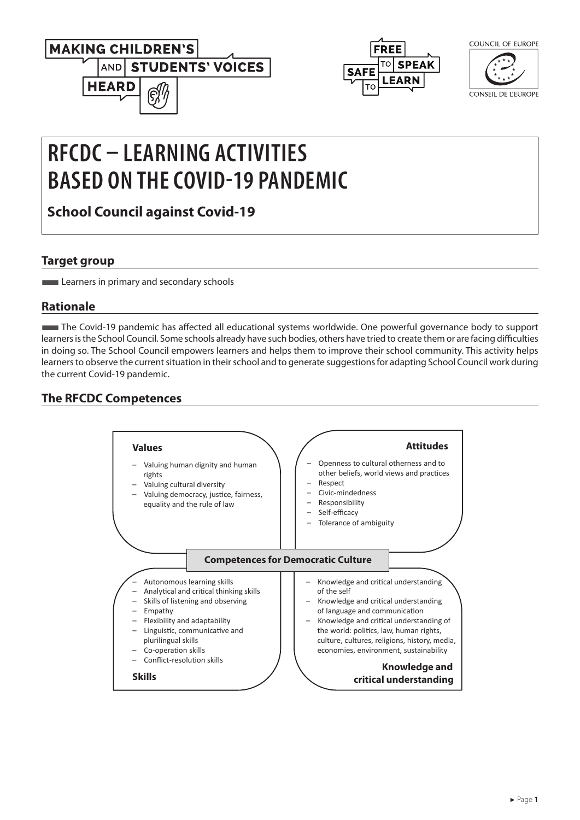



COUNCIL OF FUROPE

CONSEIL DE L'EUROPE

# **RFCDC – LEARNING ACTIVITIES BASED ON THE COVID-19 PANDEMIC**

**School Council against Covid-19**

## **Target group**

**Learners in primary and secondary schools** 

## **Rationale**

■The Covid-19 pandemic has affected all educational systems worldwide. One powerful governance body to support learners is the School Council. Some schools already have such bodies, others have tried to create them or are facing difficulties in doing so. The School Council empowers learners and helps them to improve their school community. This activity helps learners to observe the current situation in their school and to generate suggestions for adapting School Council work during the current Covid-19 pandemic.

## **The RFCDC Competences**

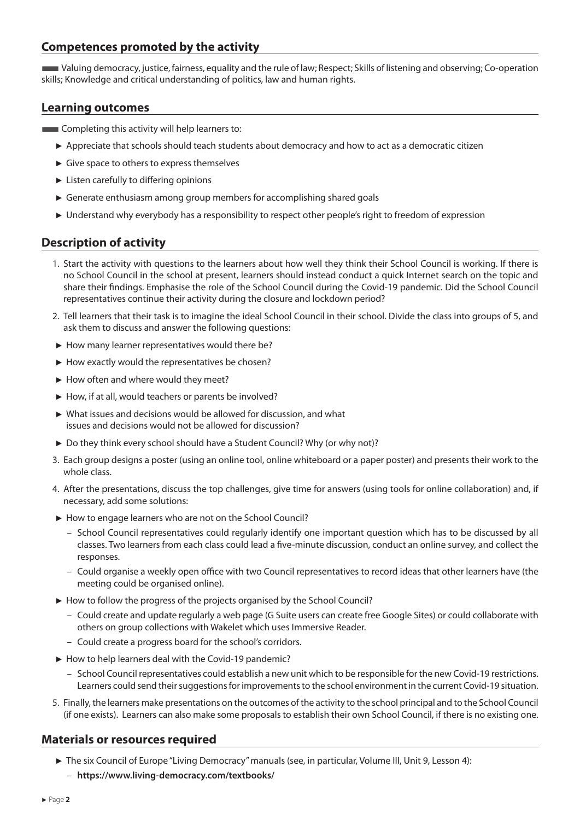### **Competences promoted by the activity**

■Valuing democracy, justice, fairness, equality and the rule of law; Respect; Skills of listening and observing; Co-operation skills; Knowledge and critical understanding of politics, law and human rights.

#### **Learning outcomes**

- **Exampleding this activity will help learners to:** 
	- ► Appreciate that schools should teach students about democracy and how to act as a democratic citizen
	- ► Give space to others to express themselves
	- ► Listen carefully to differing opinions
	- ► Generate enthusiasm among group members for accomplishing shared goals
	- ► Understand why everybody has a responsibility to respect other people's right to freedom of expression

#### **Description of activity**

- 1. Start the activity with questions to the learners about how well they think their School Council is working. If there is no School Council in the school at present, learners should instead conduct a quick Internet search on the topic and share their findings. Emphasise the role of the School Council during the Covid-19 pandemic. Did the School Council representatives continue their activity during the closure and lockdown period?
- 2. Tell learners that their task is to imagine the ideal School Council in their school. Divide the class into groups of 5, and ask them to discuss and answer the following questions:
- ► How many learner representatives would there be?
- ► How exactly would the representatives be chosen?
- ► How often and where would they meet?
- ► How, if at all, would teachers or parents be involved?
- ► What issues and decisions would be allowed for discussion, and what issues and decisions would not be allowed for discussion?
- ► Do they think every school should have a Student Council? Why (or why not)?
- 3. Each group designs a poster (using an online tool, online whiteboard or a paper poster) and presents their work to the whole class.
- 4. After the presentations, discuss the top challenges, give time for answers (using tools for online collaboration) and, if necessary, add some solutions:
- ► How to engage learners who are not on the School Council?
	- School Council representatives could regularly identify one important question which has to be discussed by all classes. Two learners from each class could lead a five-minute discussion, conduct an online survey, and collect the responses.
	- Could organise a weekly open office with two Council representatives to record ideas that other learners have (the meeting could be organised online).
- ► How to follow the progress of the projects organised by the School Council?
	- Could create and update regularly a web page (G Suite users can create free Google Sites) or could collaborate with others on group collections with Wakelet which uses Immersive Reader.
	- Could create a progress board for the school's corridors.
- ► How to help learners deal with the Covid-19 pandemic?
	- School Council representatives could establish a new unit which to be responsible for the new Covid-19 restrictions. Learners could send their suggestions for improvements to the school environment in the current Covid-19 situation.
- 5. Finally, the learners make presentations on the outcomes of the activity to the school principal and to the School Council (if one exists). Learners can also make some proposals to establish their own School Council, if there is no existing one.

#### **Materials or resources required**

- ► The six Council of Europe "Living Democracy" manuals (see, in particular, Volume III, Unit 9, Lesson 4):
	- **<https://www.living-democracy.com/textbooks/>**